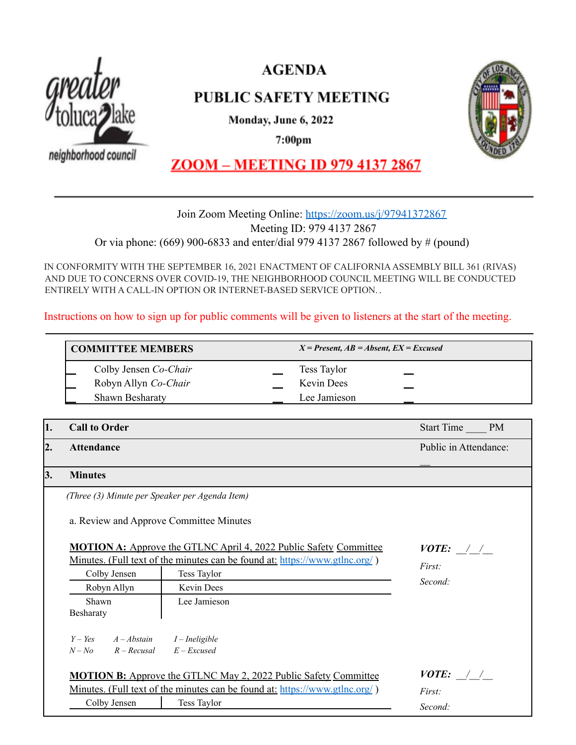

**AGENDA** 

# **PUBLIC SAFETY MEETING**

Monday, June 6, 2022

 $7:00<sub>pm</sub>$ 

neighborhood council



**ZOOM - MEETING ID 979 4137 2867** 

## Join Zoom Meeting Online: <https://zoom.us/j/97941372867> Meeting ID: 979 4137 2867 Or via phone: (669) 900-6833 and enter/dial 979 4137 2867 followed by # (pound)

IN CONFORMITY WITH THE SEPTEMBER 16, 2021 ENACTMENT OF CALIFORNIAASSEMBLY BILL 361 (RIVAS) AND DUE TO CONCERNS OVER COVID-19, THE NEIGHBORHOOD COUNCIL MEETING WILL BE CONDUCTED ENTIRELY WITH A CALL-IN OPTION OR INTERNET-BASED SERVICE OPTION. .

Instructions on how to sign up for public comments will be given to listeners at the start of the meeting.

# **COMMITTEE MEMBERS** *X = Present, AB = Absent, EX = Excused* \_\_ Colby Jensen *Co-Chair* \_\_ Tess Taylor \_\_ Robyn Allyn *Co-Chair* **Lacks Lacks Kevin Dees** Shawn Besharaty **Lee Jamieson**

| 1.                                                                       | <b>Call to Order</b>                                                               |                                                                                    | Start Time PM              |
|--------------------------------------------------------------------------|------------------------------------------------------------------------------------|------------------------------------------------------------------------------------|----------------------------|
| 2.                                                                       | <b>Attendance</b>                                                                  |                                                                                    | Public in Attendance:      |
| 3.                                                                       | <b>Minutes</b>                                                                     |                                                                                    |                            |
|                                                                          | (Three (3) Minute per Speaker per Agenda Item)                                     |                                                                                    |                            |
|                                                                          | a. Review and Approve Committee Minutes                                            |                                                                                    |                            |
| <b>MOTION A:</b> Approve the GTLNC April 4, 2022 Public Safety Committee |                                                                                    | $VOTE:$ / /                                                                        |                            |
|                                                                          | <u>Minutes. (Full text of the minutes can be found at: https://www.gtlnc.org/)</u> |                                                                                    | First:                     |
|                                                                          | Colby Jensen                                                                       | Tess Taylor                                                                        |                            |
|                                                                          | Robyn Allyn                                                                        | Kevin Dees                                                                         | Second:                    |
|                                                                          | Shawn                                                                              | Lee Jamieson                                                                       |                            |
|                                                                          | Besharaty                                                                          |                                                                                    |                            |
|                                                                          | $Y - Yes$ $A - Abstain$ $I - In eligible$                                          |                                                                                    |                            |
|                                                                          | $N - No$ $R - Recusal$                                                             | $E$ – Excused                                                                      |                            |
|                                                                          |                                                                                    | <b>MOTION B:</b> Approve the GTLNC May 2, 2022 Public Safety Committee             | <i>VOTE:</i> $\frac{1}{2}$ |
|                                                                          |                                                                                    | <u>Minutes. (Full text of the minutes can be found at: https://www.gtlnc.org/)</u> |                            |
|                                                                          | Colby Jensen                                                                       | Tess Taylor                                                                        | First:<br>Second:          |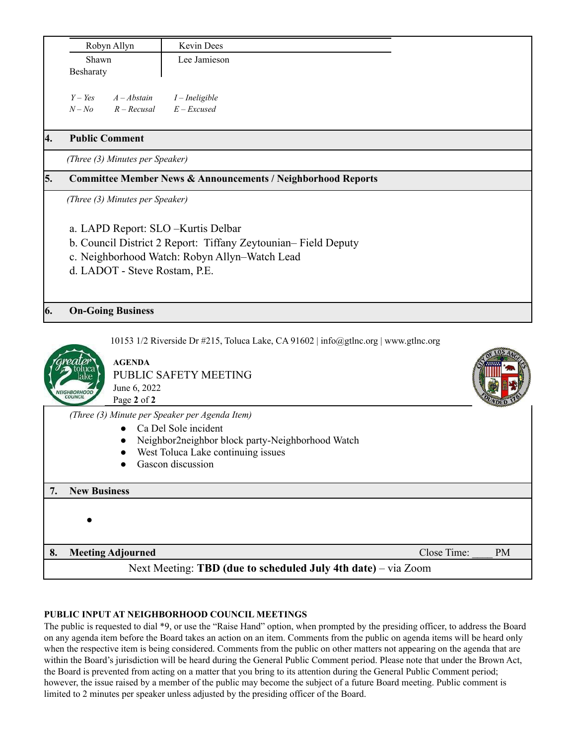|     | Robyn Allyn                                                                                                                                                                                                         | Kevin Dees     |  |
|-----|---------------------------------------------------------------------------------------------------------------------------------------------------------------------------------------------------------------------|----------------|--|
|     | Shawn                                                                                                                                                                                                               | Lee Jamieson   |  |
|     | Besharaty                                                                                                                                                                                                           |                |  |
|     |                                                                                                                                                                                                                     |                |  |
|     | $Y - Yes$<br>$A - Abstain$                                                                                                                                                                                          | I – Ineligible |  |
|     | $R - Recusal$ $E - Excused$<br>$N - No$                                                                                                                                                                             |                |  |
|     |                                                                                                                                                                                                                     |                |  |
| 4.  | <b>Public Comment</b>                                                                                                                                                                                               |                |  |
|     | (Three (3) Minutes per Speaker)                                                                                                                                                                                     |                |  |
| 5.  | <b>Committee Member News &amp; Announcements / Neighborhood Reports</b><br>(Three (3) Minutes per Speaker)<br>a. LAPD Report: SLO - Kurtis Delbar<br>b. Council District 2 Report: Tiffany Zeytounian– Field Deputy |                |  |
|     |                                                                                                                                                                                                                     |                |  |
|     |                                                                                                                                                                                                                     |                |  |
|     |                                                                                                                                                                                                                     |                |  |
|     |                                                                                                                                                                                                                     |                |  |
|     | c. Neighborhood Watch: Robyn Allyn-Watch Lead                                                                                                                                                                       |                |  |
|     | d. LADOT - Steve Rostam, P.E.                                                                                                                                                                                       |                |  |
|     |                                                                                                                                                                                                                     |                |  |
|     |                                                                                                                                                                                                                     |                |  |
| 16. | <b>On-Going Business</b>                                                                                                                                                                                            |                |  |

10153 1/2 Riverside Dr #215, Toluca Lake, CA 91602 | info@gtlnc.org | www.gtlnc.org



**AGENDA** PUBLIC SAFETY MEETING June 6, 2022 Page **2** of **2**

*(Three (3) Minute per Speaker per Agenda Item)*

- Ca Del Sole incident
- Neighbor2neighbor block party-Neighborhood Watch
- West Toluca Lake continuing issues
- Gascon discussion

### **7. New Business**

●

**8. Meeting Adjourned Close Time:**  $\bullet$  PM

## Next Meeting: **TBD (due to scheduled July 4th date)** – via Zoom

### **PUBLIC INPUT AT NEIGHBORHOOD COUNCIL MEETINGS**

The public is requested to dial \*9, or use the "Raise Hand" option, when prompted by the presiding officer, to address the Board on any agenda item before the Board takes an action on an item. Comments from the public on agenda items will be heard only when the respective item is being considered. Comments from the public on other matters not appearing on the agenda that are within the Board's jurisdiction will be heard during the General Public Comment period. Please note that under the Brown Act, the Board is prevented from acting on a matter that you bring to its attention during the General Public Comment period; however, the issue raised by a member of the public may become the subject of a future Board meeting. Public comment is limited to 2 minutes per speaker unless adjusted by the presiding officer of the Board.